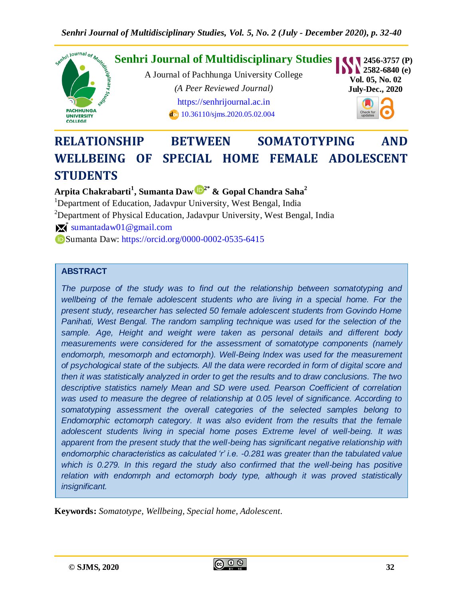

# **RELATIONSHIP BETWEEN SOMATOTYPING AND WELLBEING OF SPECIAL HOME FEMALE ADOLESCENT STUDENTS**

**Arpita Chakrabarti<sup>1</sup> , Sumanta Daw 2\* & Gopal Chandra Saha<sup>2</sup>**

<sup>1</sup>Department of Education, Jadavpur University, West Bengal, India <sup>2</sup>Department of Physical Education, Jadavpur University, West Bengal, India  $\mathbb{X}^*$  [sumantadaw01@gmail.com](mailto:sumantadaw01@gmail.com) Sumanta Daw: <https://orcid.org/0000-0002-0535-6415>

## **ABSTRACT**

*The purpose of the study was to find out the relationship between somatotyping and wellbeing of the female adolescent students who are living in a special home. For the present study, researcher has selected 50 female adolescent students from Govindo Home Panihati, West Bengal. The random sampling technique was used for the selection of the sample. Age, Height and weight were taken as personal details and different body measurements were considered for the assessment of somatotype components (namely endomorph, mesomorph and ectomorph). Well-Being Index was used for the measurement of psychological state of the subjects. All the data were recorded in form of digital score and then it was statistically analyzed in order to get the results and to draw conclusions. The two descriptive statistics namely Mean and SD were used. Pearson Coefficient of correlation was used to measure the degree of relationship at 0.05 level of significance. According to somatotyping assessment the overall categories of the selected samples belong to Endomorphic ectomorph category. It was also evident from the results that the female adolescent students living in special home poses Extreme level of well-being. It was apparent from the present study that the well-being has significant negative relationship with endomorphic characteristics as calculated 'r' i.e. -0.281 was greater than the tabulated value which is 0.279. In this regard the study also confirmed that the well-being has positive relation with endomrph and ectomorph body type, although it was proved statistically insignificant.*

**Keywords:** *Somatotype, Wellbeing, Special home, Adolescent.*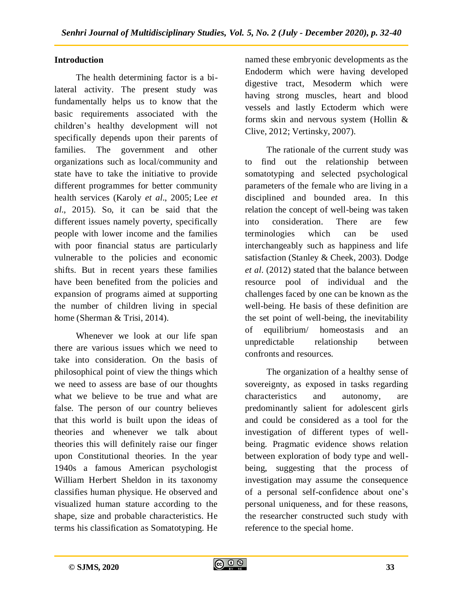# **Introduction**

The health determining factor is a bilateral activity. The present study was fundamentally helps us to know that the basic requirements associated with the children's healthy development will not specifically depends upon their parents of families. The government and other organizations such as local/community and state have to take the initiative to provide different programmes for better community health services (Karoly *et al*., 2005; Lee *et al*., 2015). So, it can be said that the different issues namely poverty, specifically people with lower income and the families with poor financial status are particularly vulnerable to the policies and economic shifts. But in recent years these families have been benefited from the policies and expansion of programs aimed at supporting the number of children living in special home (Sherman & Trisi, 2014).

Whenever we look at our life span there are various issues which we need to take into consideration. On the basis of philosophical point of view the things which we need to assess are base of our thoughts what we believe to be true and what are false. The person of our country believes that this world is built upon the ideas of theories and whenever we talk about theories this will definitely raise our finger upon Constitutional theories. In the year 1940s a famous American psychologist William Herbert Sheldon in its taxonomy classifies human physique. He observed and visualized human stature according to the shape, size and probable characteristics. He terms his classification as Somatotyping. He

named these embryonic developments as the Endoderm which were having developed digestive tract, Mesoderm which were having strong muscles, heart and blood vessels and lastly Ectoderm which were forms skin and nervous system (Hollin & Clive, 2012; Vertinsky, 2007).

The rationale of the current study was to find out the relationship between somatotyping and selected psychological parameters of the female who are living in a disciplined and bounded area. In this relation the concept of well-being was taken into consideration. There are few terminologies which can be used interchangeably such as happiness and life satisfaction (Stanley & Cheek, 2003). Dodge *et al*. (2012) stated that the balance between resource pool of individual and the challenges faced by one can be known as the well-being. He basis of these definition are the set point of well-being, the inevitability of equilibrium/ homeostasis and an unpredictable relationship between confronts and resources.

The organization of a healthy sense of sovereignty, as exposed in tasks regarding characteristics and autonomy, are predominantly salient for adolescent girls and could be considered as a tool for the investigation of different types of wellbeing. Pragmatic evidence shows relation between exploration of body type and wellbeing, suggesting that the process of investigation may assume the consequence of a personal self-confidence about one's personal uniqueness, and for these reasons, the researcher constructed such study with reference to the special home.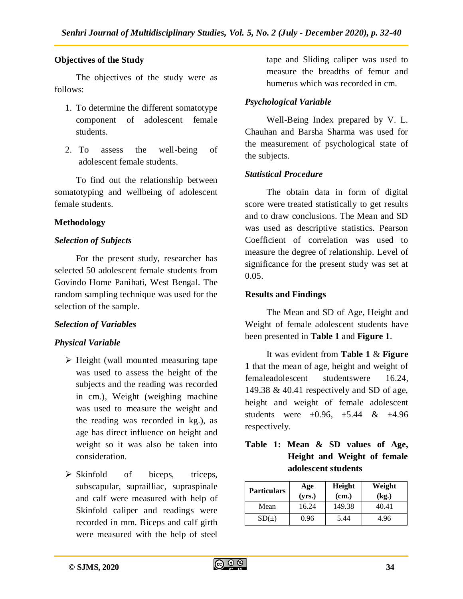## **Objectives of the Study**

The objectives of the study were as follows:

- 1. To determine the different somatotype component of adolescent female students.
- 2. To assess the well-being of adolescent female students.

To find out the relationship between somatotyping and wellbeing of adolescent female students.

## **Methodology**

## *Selection of Subjects*

For the present study, researcher has selected 50 adolescent female students from Govindo Home Panihati, West Bengal. The random sampling technique was used for the selection of the sample.

#### *Selection of Variables*

#### *Physical Variable*

- $\triangleright$  Height (wall mounted measuring tape was used to assess the height of the subjects and the reading was recorded in cm.), Weight (weighing machine was used to measure the weight and the reading was recorded in kg.), as age has direct influence on height and weight so it was also be taken into consideration.
- $\triangleright$  Skinfold of biceps, triceps, subscapular, suprailliac, supraspinale and calf were measured with help of Skinfold caliper and readings were recorded in mm. Biceps and calf girth were measured with the help of steel

tape and Sliding caliper was used to measure the breadths of femur and humerus which was recorded in cm.

## *Psychological Variable*

Well-Being Index prepared by V. L. Chauhan and Barsha Sharma was used for the measurement of psychological state of the subjects.

## *Statistical Procedure*

The obtain data in form of digital score were treated statistically to get results and to draw conclusions. The Mean and SD was used as descriptive statistics. Pearson Coefficient of correlation was used to measure the degree of relationship. Level of significance for the present study was set at  $0.05.$ 

## **Results and Findings**

The Mean and SD of Age, Height and Weight of female adolescent students have been presented in **Table 1** and **Figure 1**.

It was evident from **Table 1** & **Figure 1** that the mean of age, height and weight of femaleadolescent studentswere 16.24, 149.38 & 40.41 respectively and SD of age, height and weight of female adolescent students were  $\pm 0.96$ ,  $\pm 5.44$  &  $\pm 4.96$ respectively.

# **Table 1: Mean & SD values of Age, Height and Weight of female adolescent students**

| <b>Particulars</b> | Age<br>(yrs.) | Height<br>(cm.) | Weight<br>(kg.) |  |  |
|--------------------|---------------|-----------------|-----------------|--|--|
| Mean               | 16.24         | 149.38          | 40.41           |  |  |
| SD(±)              | 0.96          | 5.44            | 4.96            |  |  |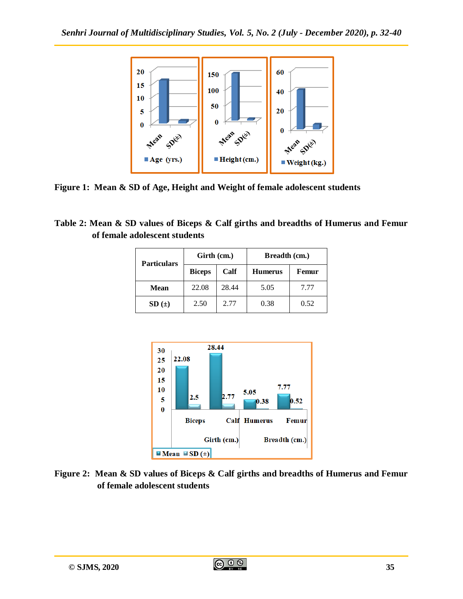

**Figure 1: Mean & SD of Age, Height and Weight of female adolescent students**

**Table 2: Mean & SD values of Biceps & Calf girths and breadths of Humerus and Femur of female adolescent students**

| <b>Particulars</b> | Girth (cm.)   |       | Breadth (cm.)  |       |  |
|--------------------|---------------|-------|----------------|-------|--|
|                    | <b>Biceps</b> | Calf  | <b>Humerus</b> | Femur |  |
| Mean               | 22.08         | 28.44 | 5.05           | 7.77  |  |
| SD(±)              | 2.77<br>2.50  |       | 0.38           | 0.52  |  |



**Figure 2: Mean & SD values of Biceps & Calf girths and breadths of Humerus and Femur of female adolescent students**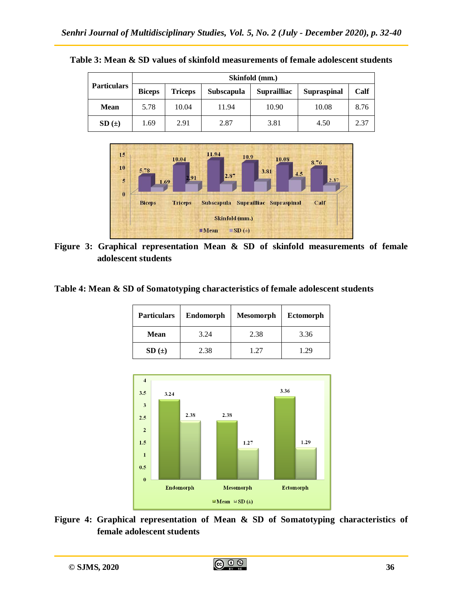**Table 3: Mean & SD values of skinfold measurements of female adolescent students**

| <b>Particulars</b> | Skinfold (mm.) |                |                   |                    |             |      |
|--------------------|----------------|----------------|-------------------|--------------------|-------------|------|
|                    | <b>Biceps</b>  | <b>Triceps</b> | <b>Subscapula</b> | <b>Suprailliac</b> | Supraspinal | Calf |
| <b>Mean</b>        | 5.78           | 10.04          | 11.94             | 10.90              | 10.08       | 8.76 |
| SD(±)              | 1.69           | 2.91           | 2.87              | 3.81               | 4.50        | 2.37 |



**Figure 3: Graphical representation Mean & SD of skinfold measurements of female adolescent students**

**Table 4: Mean & SD of Somatotyping characteristics of female adolescent students**

| <b>Particulars</b><br><b>Endomorph</b> |      | <b>Mesomorph</b> | <b>Ectomorph</b> |  |  |
|----------------------------------------|------|------------------|------------------|--|--|
| 3.24<br><b>Mean</b>                    |      | 2.38             | 3.36             |  |  |
| SD(±)                                  | 2.38 | 1.27             | 1.29             |  |  |



**Figure 4: Graphical representation of Mean & SD of Somatotyping characteristics of female adolescent students**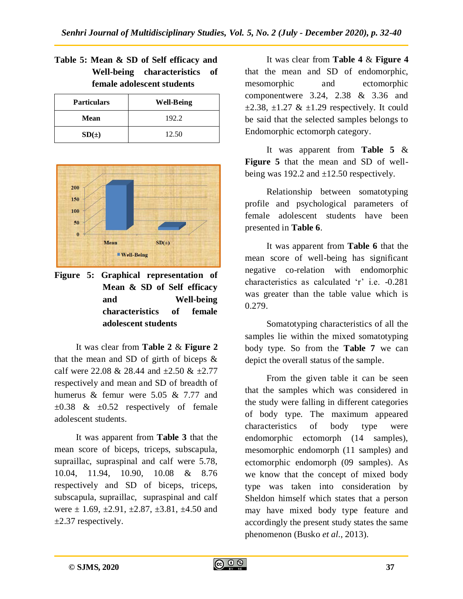| <b>Particulars</b> | <b>Well-Being</b> |
|--------------------|-------------------|
| <b>Mean</b>        | 192.2             |
| SD(±)              | 12.50             |





**Figure 5: Graphical representation of Mean & SD of Self efficacy and Well-being characteristics of female adolescent students**

It was clear from **Table 2** & **Figure 2** that the mean and SD of girth of biceps & calf were 22.08 & 28.44 and  $\pm 2.50$  &  $\pm 2.77$ respectively and mean and SD of breadth of humerus & femur were 5.05 & 7.77 and  $\pm 0.38$  &  $\pm 0.52$  respectively of female adolescent students.

It was apparent from **Table 3** that the mean score of biceps, triceps, subscapula, supraillac, supraspinal and calf were 5.78, 10.04, 11.94, 10.90, 10.08 & 8.76 respectively and SD of biceps, triceps, subscapula, supraillac, supraspinal and calf were  $\pm$  1.69,  $\pm$ 2.91,  $\pm$ 2.87,  $\pm$ 3.81,  $\pm$ 4.50 and  $\pm 2.37$  respectively.

It was clear from **Table 4** & **Figure 4** that the mean and SD of endomorphic, mesomorphic and ectomorphic componentwere 3.24, 2.38 & 3.36 and  $\pm 2.38$ ,  $\pm 1.27 \& \pm 1.29$  respectively. It could be said that the selected samples belongs to Endomorphic ectomorph category.

It was apparent from **Table 5** & **Figure 5** that the mean and SD of wellbeing was 192.2 and  $\pm$ 12.50 respectively.

Relationship between somatotyping profile and psychological parameters of female adolescent students have been presented in **Table 6**.

It was apparent from **Table 6** that the mean score of well-being has significant negative co-relation with endomorphic characteristics as calculated 'r' i.e. -0.281 was greater than the table value which is 0.279.

Somatotyping characteristics of all the samples lie within the mixed somatotyping body type. So from the **Table 7** we can depict the overall status of the sample.

From the given table it can be seen that the samples which was considered in the study were falling in different categories of body type. The maximum appeared characteristics of body type were endomorphic ectomorph (14 samples), mesomorphic endomorph (11 samples) and ectomorphic endomorph (09 samples). As we know that the concept of mixed body type was taken into consideration by Sheldon himself which states that a person may have mixed body type feature and accordingly the present study states the same phenomenon (Busko *et al.*, 2013).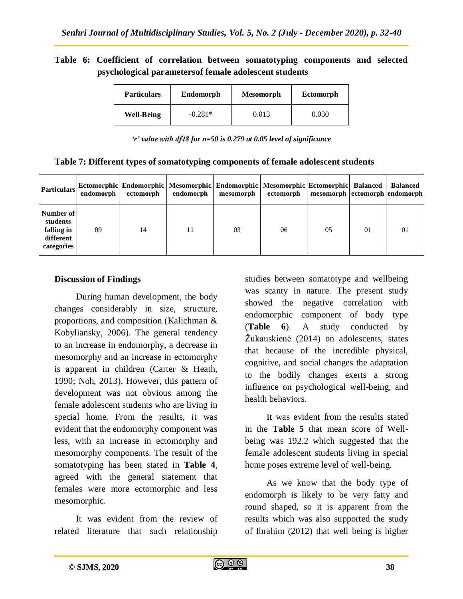# **Table 6: Coefficient of correlation between somatotyping components and selected psychological parametersof female adolescent students**

| <b>Particulars</b> | Endomorph | <b>Mesomorph</b> | Ectomorph |  |
|--------------------|-----------|------------------|-----------|--|
| <b>Well-Being</b>  | $-0.281*$ | 0.013            | 0.030     |  |

|  |  | Table 7: Different types of somatotyping components of female adolescent students |  |
|--|--|-----------------------------------------------------------------------------------|--|
|--|--|-----------------------------------------------------------------------------------|--|

| <b>Particulars</b>                                             | endomorph | Ectomorphic Endomorphic Mesomorphic Endomorphic Mesomorphic Ectomorphic Balanced<br>ectomorph | endomorph | mesomorph | ectomorph | mesomorph   ectomorph   endomorph |          | <b>Balanced</b> |
|----------------------------------------------------------------|-----------|-----------------------------------------------------------------------------------------------|-----------|-----------|-----------|-----------------------------------|----------|-----------------|
| Number of<br>students<br>falling in<br>different<br>categories | 09        | 14                                                                                            | 11        | 03        | 06        | 0.5                               | $\Omega$ | 01              |

# **Discussion of Findings**

During human development, the body changes considerably in size, structure, proportions, and composition (Kalichman & Kobyliansky, 2006). The general tendency to an increase in endomorphy, a decrease in mesomorphy and an increase in ectomorphy is apparent in children (Carter & Heath, 1990; Noh, 2013). However, this pattern of development was not obvious among the female adolescent students who are living in special home. From the results, it was evident that the endomorphy component was less, with an increase in ectomorphy and mesomorphy components. The result of the somatotyping has been stated in **Table 4**, agreed with the general statement that females were more ectomorphic and less mesomorphic.

It was evident from the review of related literature that such relationship

studies between somatotype and wellbeing was scanty in nature. The present study showed the negative correlation with endomorphic component of body type (**Table 6**). A study conducted by Žukauskienė (2014) on adolescents, states that because of the incredible physical, cognitive, and social changes the adaptation to the bodily changes exerts a strong influence on psychological well-being, and health behaviors.

It was evident from the results stated in the **Table 5** that mean score of Wellbeing was 192.2 which suggested that the female adolescent students living in special home poses extreme level of well-being.

As we know that the body type of endomorph is likely to be very fatty and round shaped, so it is apparent from the results which was also supported the study of Ibrahim (2012) that well being is higher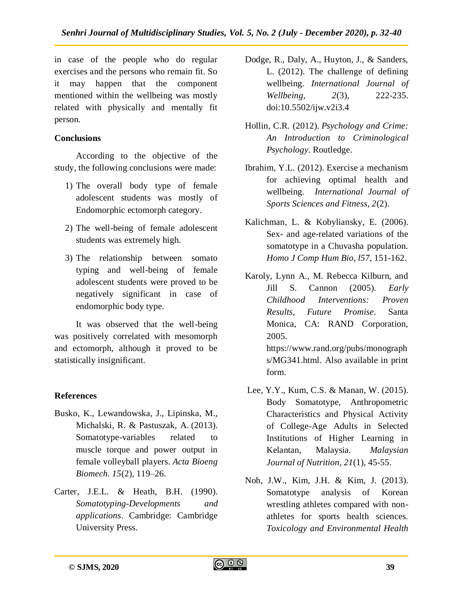in case of the people who do regular exercises and the persons who remain fit. So it may happen that the component mentioned within the wellbeing was mostly related with physically and mentally fit person.

# **Conclusions**

According to the objective of the study, the following conclusions were made:

- 1) The overall body type of female adolescent students was mostly of Endomorphic ectomorph category.
- 2) The well-being of female adolescent students was extremely high.
- 3) The relationship between somato typing and well-being of female adolescent students were proved to be negatively significant in case of endomorphic body type.

It was observed that the well-being was positively correlated with mesomorph and ectomorph, although it proved to be statistically insignificant.

# **References**

- Busko, K., Lewandowska, J., Lipinska, M., Michalski, R. & Pastuszak, A. (2013). Somatotype-variables related to muscle torque and power output in female volleyball players. *Acta Bioeng Biomech. 15*(2), 119–26.
- Carter, J.E.L. & Heath, B.H. (1990). *Somatotyping-Developments and applications*. Cambridge: Cambridge University Press.
- Dodge, R., Daly, A., Huyton, J., & Sanders, L. (2012). The challenge of defining wellbeing. *International Journal of Wellbeing, 2*(3), 222-235. doi:10.5502/ijw.v2i3.4
- Hollin, C.R. (2012). *Psychology and Crime: An Introduction to Criminological Psychology*. Routledge.
- Ibrahim, Y.L. (2012). Exercise a mechanism for achieving optimal health and wellbeing. *International Journal of Sports Sciences and Fitness, 2*(2).
- Kalichman, L. & Kobyliansky, E. (2006). Sex- and age-related variations of the somatotype in a Chuvasha population. *Homo J Comp Hum Bio, l57*, 151-162.
- Karoly, Lynn A., M. Rebecca Kilburn, and Jill S. Cannon (2005). *Early Childhood Interventions: Proven Results, Future Promise*. Santa Monica, CA: RAND Corporation, 2005. https://www.rand.org/pubs/monograph s/MG341.html. Also available in print form.
- Lee, Y.Y., Kum, C.S. & Manan, W. (2015). Body Somatotype, Anthropometric Characteristics and Physical Activity of College-Age Adults in Selected Institutions of Higher Learning in Kelantan, Malaysia. *Malaysian Journal of Nutrition, 21*(1), 45-55.
- Noh, J.W., Kim, J.H. & Kim, J. (2013). Somatotype analysis of Korean wrestling athletes compared with nonathletes for sports health sciences. *Toxicology and Environmental Health*